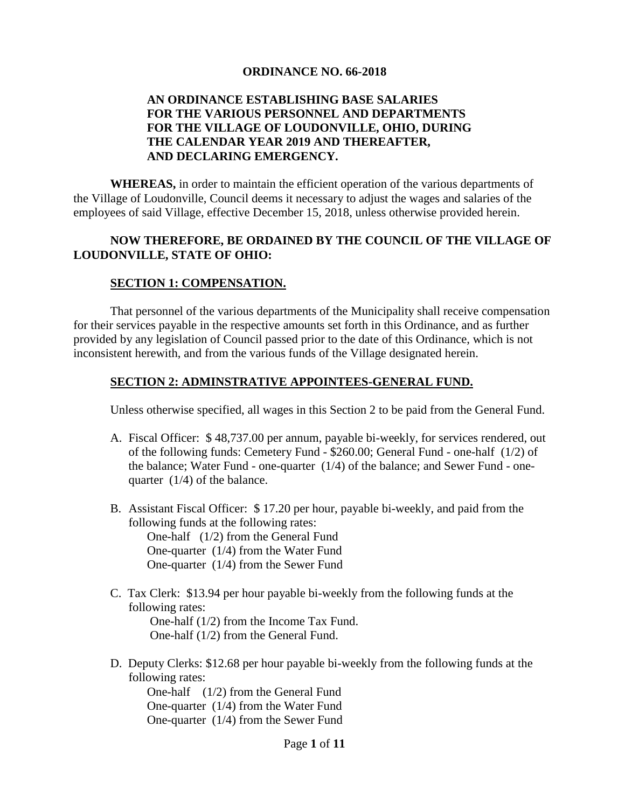#### **ORDINANCE NO. 66-2018**

#### **AN ORDINANCE ESTABLISHING BASE SALARIES FOR THE VARIOUS PERSONNEL AND DEPARTMENTS FOR THE VILLAGE OF LOUDONVILLE, OHIO, DURING THE CALENDAR YEAR 2019 AND THEREAFTER, AND DECLARING EMERGENCY.**

**WHEREAS,** in order to maintain the efficient operation of the various departments of the Village of Loudonville, Council deems it necessary to adjust the wages and salaries of the employees of said Village, effective December 15, 2018, unless otherwise provided herein.

#### **NOW THEREFORE, BE ORDAINED BY THE COUNCIL OF THE VILLAGE OF LOUDONVILLE, STATE OF OHIO:**

#### **SECTION 1: COMPENSATION.**

That personnel of the various departments of the Municipality shall receive compensation for their services payable in the respective amounts set forth in this Ordinance, and as further provided by any legislation of Council passed prior to the date of this Ordinance, which is not inconsistent herewith, and from the various funds of the Village designated herein.

#### **SECTION 2: ADMINSTRATIVE APPOINTEES-GENERAL FUND.**

Unless otherwise specified, all wages in this Section 2 to be paid from the General Fund.

- A. Fiscal Officer: \$ 48,737.00 per annum, payable bi-weekly, for services rendered, out of the following funds: Cemetery Fund - \$260.00; General Fund - one-half (1/2) of the balance; Water Fund - one-quarter (1/4) of the balance; and Sewer Fund - onequarter (1/4) of the balance.
- B. Assistant Fiscal Officer: \$ 17.20 per hour, payable bi-weekly, and paid from the following funds at the following rates: One-half (1/2) from the General Fund One-quarter (1/4) from the Water Fund

One-quarter (1/4) from the Sewer Fund

C. Tax Clerk: \$13.94 per hour payable bi-weekly from the following funds at the following rates:

 One-half (1/2) from the Income Tax Fund. One-half (1/2) from the General Fund.

D. Deputy Clerks: \$12.68 per hour payable bi-weekly from the following funds at the following rates:

One-half (1/2) from the General Fund One-quarter (1/4) from the Water Fund One-quarter (1/4) from the Sewer Fund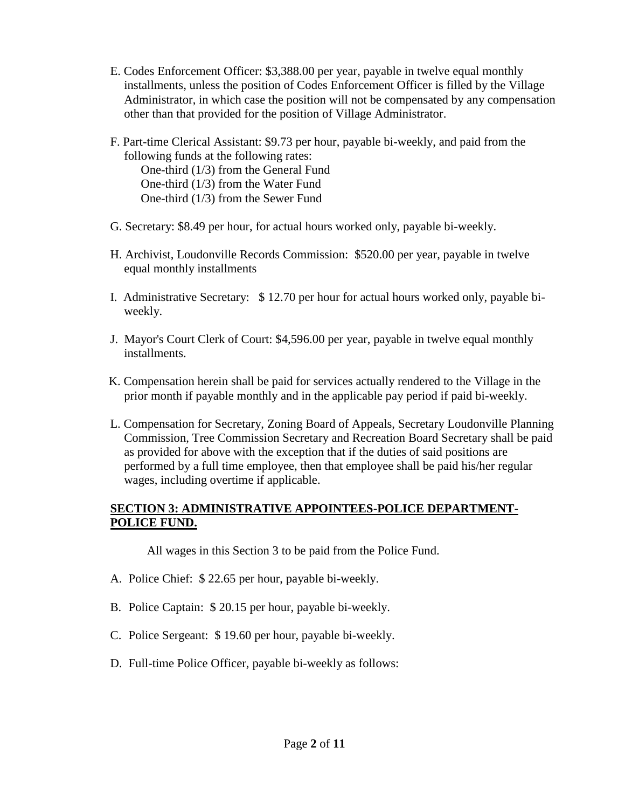- E. Codes Enforcement Officer: \$3,388.00 per year, payable in twelve equal monthly installments, unless the position of Codes Enforcement Officer is filled by the Village Administrator, in which case the position will not be compensated by any compensation other than that provided for the position of Village Administrator.
- F. Part-time Clerical Assistant: \$9.73 per hour, payable bi-weekly, and paid from the following funds at the following rates: One-third (1/3) from the General Fund One-third (1/3) from the Water Fund One-third (1/3) from the Sewer Fund
- G. Secretary: \$8.49 per hour, for actual hours worked only, payable bi-weekly.
- H. Archivist, Loudonville Records Commission: \$520.00 per year, payable in twelve equal monthly installments
- I. Administrative Secretary: \$ 12.70 per hour for actual hours worked only, payable biweekly.
- J. Mayor's Court Clerk of Court: \$4,596.00 per year, payable in twelve equal monthly installments.
- K. Compensation herein shall be paid for services actually rendered to the Village in the prior month if payable monthly and in the applicable pay period if paid bi-weekly.
- L. Compensation for Secretary, Zoning Board of Appeals, Secretary Loudonville Planning Commission, Tree Commission Secretary and Recreation Board Secretary shall be paid as provided for above with the exception that if the duties of said positions are performed by a full time employee, then that employee shall be paid his/her regular wages, including overtime if applicable.

#### **SECTION 3: ADMINISTRATIVE APPOINTEES-POLICE DEPARTMENT-POLICE FUND.**

All wages in this Section 3 to be paid from the Police Fund.

- A. Police Chief: \$ 22.65 per hour, payable bi-weekly.
- B. Police Captain: \$ 20.15 per hour, payable bi-weekly.
- C. Police Sergeant: \$ 19.60 per hour, payable bi-weekly.
- D. Full-time Police Officer, payable bi-weekly as follows: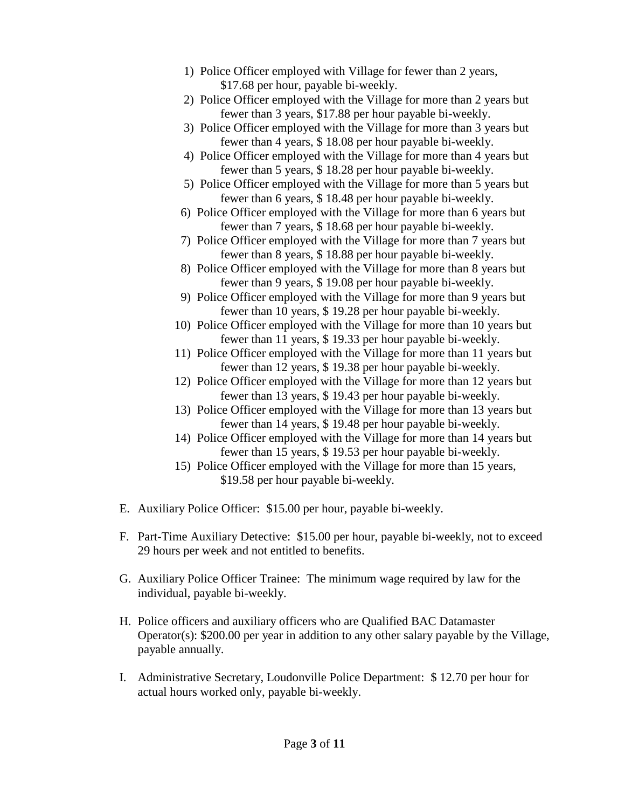- 1) Police Officer employed with Village for fewer than 2 years, \$17.68 per hour, payable bi-weekly.
- 2) Police Officer employed with the Village for more than 2 years but fewer than 3 years, \$17.88 per hour payable bi-weekly.
- 3) Police Officer employed with the Village for more than 3 years but fewer than 4 years, \$ 18.08 per hour payable bi-weekly.
- 4) Police Officer employed with the Village for more than 4 years but fewer than 5 years, \$ 18.28 per hour payable bi-weekly.
- 5) Police Officer employed with the Village for more than 5 years but fewer than 6 years, \$ 18.48 per hour payable bi-weekly.
- 6) Police Officer employed with the Village for more than 6 years but fewer than 7 years, \$ 18.68 per hour payable bi-weekly.
- 7) Police Officer employed with the Village for more than 7 years but fewer than 8 years, \$ 18.88 per hour payable bi-weekly.
- 8) Police Officer employed with the Village for more than 8 years but fewer than 9 years, \$ 19.08 per hour payable bi-weekly.
- 9) Police Officer employed with the Village for more than 9 years but fewer than 10 years, \$ 19.28 per hour payable bi-weekly.
- 10) Police Officer employed with the Village for more than 10 years but fewer than 11 years, \$ 19.33 per hour payable bi-weekly.
- 11) Police Officer employed with the Village for more than 11 years but fewer than 12 years, \$ 19.38 per hour payable bi-weekly.
- 12) Police Officer employed with the Village for more than 12 years but fewer than 13 years, \$ 19.43 per hour payable bi-weekly.
- 13) Police Officer employed with the Village for more than 13 years but fewer than 14 years, \$ 19.48 per hour payable bi-weekly.
- 14) Police Officer employed with the Village for more than 14 years but fewer than 15 years, \$ 19.53 per hour payable bi-weekly.
- 15) Police Officer employed with the Village for more than 15 years, \$19.58 per hour payable bi-weekly.
- E. Auxiliary Police Officer: \$15.00 per hour, payable bi-weekly.
- F. Part-Time Auxiliary Detective: \$15.00 per hour, payable bi-weekly, not to exceed 29 hours per week and not entitled to benefits.
- G. Auxiliary Police Officer Trainee: The minimum wage required by law for the individual, payable bi-weekly.
- H. Police officers and auxiliary officers who are Qualified BAC Datamaster Operator(s): \$200.00 per year in addition to any other salary payable by the Village, payable annually.
- I. Administrative Secretary, Loudonville Police Department: \$ 12.70 per hour for actual hours worked only, payable bi-weekly.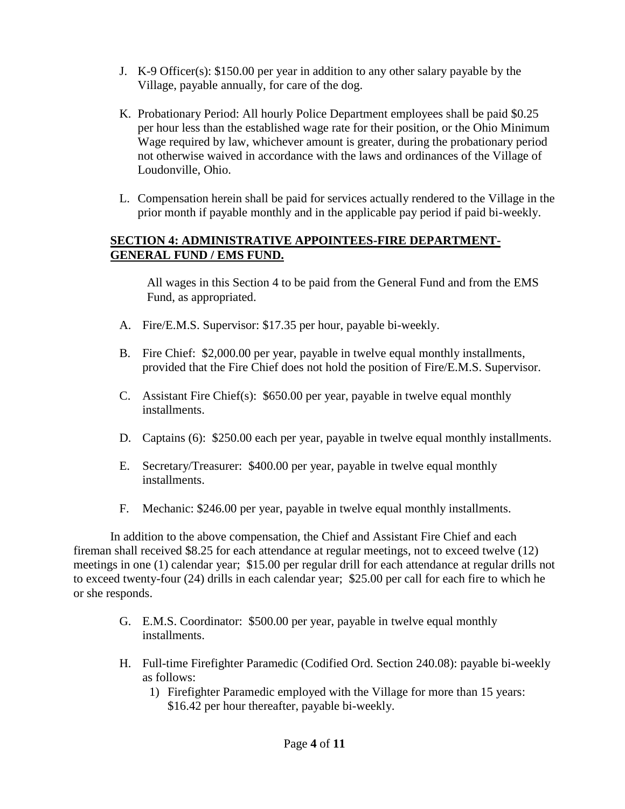- J. K-9 Officer(s): \$150.00 per year in addition to any other salary payable by the Village, payable annually, for care of the dog.
- K. Probationary Period: All hourly Police Department employees shall be paid \$0.25 per hour less than the established wage rate for their position, or the Ohio Minimum Wage required by law, whichever amount is greater, during the probationary period not otherwise waived in accordance with the laws and ordinances of the Village of Loudonville, Ohio.
- L. Compensation herein shall be paid for services actually rendered to the Village in the prior month if payable monthly and in the applicable pay period if paid bi-weekly.

#### **SECTION 4: ADMINISTRATIVE APPOINTEES-FIRE DEPARTMENT-GENERAL FUND / EMS FUND.**

All wages in this Section 4 to be paid from the General Fund and from the EMS Fund, as appropriated.

- A. Fire/E.M.S. Supervisor: \$17.35 per hour, payable bi-weekly.
- B. Fire Chief: \$2,000.00 per year, payable in twelve equal monthly installments, provided that the Fire Chief does not hold the position of Fire/E.M.S. Supervisor.
- C. Assistant Fire Chief(s): \$650.00 per year, payable in twelve equal monthly installments.
- D. Captains (6): \$250.00 each per year, payable in twelve equal monthly installments.
- E. Secretary/Treasurer: \$400.00 per year, payable in twelve equal monthly installments.
- F. Mechanic: \$246.00 per year, payable in twelve equal monthly installments.

In addition to the above compensation, the Chief and Assistant Fire Chief and each fireman shall received \$8.25 for each attendance at regular meetings, not to exceed twelve (12) meetings in one (1) calendar year; \$15.00 per regular drill for each attendance at regular drills not to exceed twenty-four (24) drills in each calendar year; \$25.00 per call for each fire to which he or she responds.

- G. E.M.S. Coordinator: \$500.00 per year, payable in twelve equal monthly installments.
- H. Full-time Firefighter Paramedic (Codified Ord. Section 240.08): payable bi-weekly as follows:
	- 1) Firefighter Paramedic employed with the Village for more than 15 years: \$16.42 per hour thereafter, payable bi-weekly.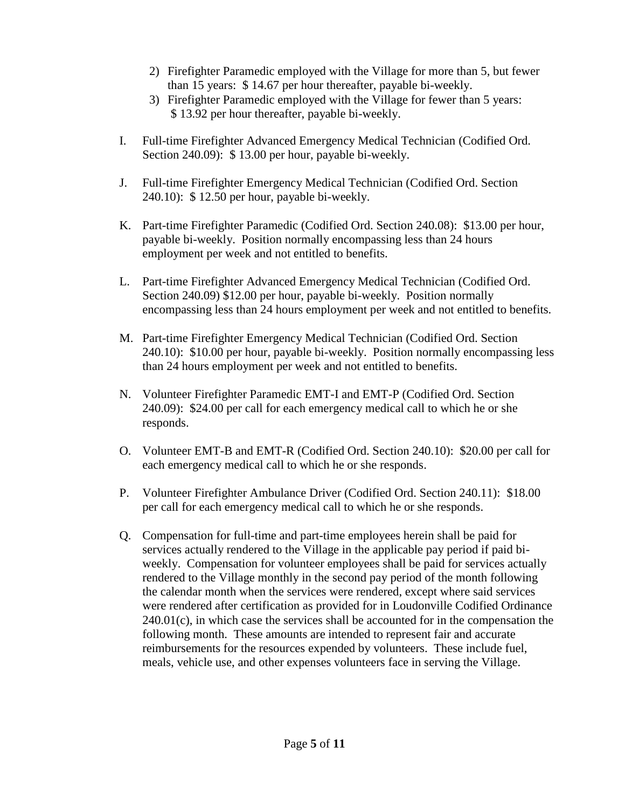- 2) Firefighter Paramedic employed with the Village for more than 5, but fewer than 15 years: \$ 14.67 per hour thereafter, payable bi-weekly.
- 3) Firefighter Paramedic employed with the Village for fewer than 5 years: \$ 13.92 per hour thereafter, payable bi-weekly.
- I. Full-time Firefighter Advanced Emergency Medical Technician (Codified Ord. Section 240.09): \$ 13.00 per hour, payable bi-weekly.
- J. Full-time Firefighter Emergency Medical Technician (Codified Ord. Section 240.10): \$ 12.50 per hour, payable bi-weekly.
- K. Part-time Firefighter Paramedic (Codified Ord. Section 240.08): \$13.00 per hour, payable bi-weekly. Position normally encompassing less than 24 hours employment per week and not entitled to benefits.
- L. Part-time Firefighter Advanced Emergency Medical Technician (Codified Ord. Section 240.09) \$12.00 per hour, payable bi-weekly. Position normally encompassing less than 24 hours employment per week and not entitled to benefits.
- M. Part-time Firefighter Emergency Medical Technician (Codified Ord. Section 240.10): \$10.00 per hour, payable bi-weekly. Position normally encompassing less than 24 hours employment per week and not entitled to benefits.
- N. Volunteer Firefighter Paramedic EMT-I and EMT-P (Codified Ord. Section 240.09): \$24.00 per call for each emergency medical call to which he or she responds.
- O. Volunteer EMT-B and EMT-R (Codified Ord. Section 240.10): \$20.00 per call for each emergency medical call to which he or she responds.
- P. Volunteer Firefighter Ambulance Driver (Codified Ord. Section 240.11): \$18.00 per call for each emergency medical call to which he or she responds.
- Q. Compensation for full-time and part-time employees herein shall be paid for services actually rendered to the Village in the applicable pay period if paid biweekly. Compensation for volunteer employees shall be paid for services actually rendered to the Village monthly in the second pay period of the month following the calendar month when the services were rendered, except where said services were rendered after certification as provided for in Loudonville Codified Ordinance  $240.01(c)$ , in which case the services shall be accounted for in the compensation the following month. These amounts are intended to represent fair and accurate reimbursements for the resources expended by volunteers. These include fuel, meals, vehicle use, and other expenses volunteers face in serving the Village.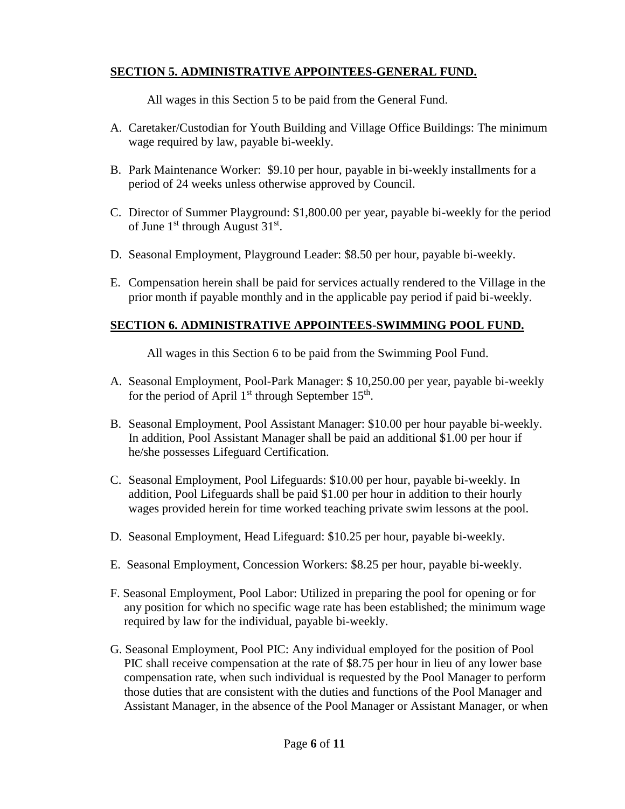# **SECTION 5. ADMINISTRATIVE APPOINTEES-GENERAL FUND.**

All wages in this Section 5 to be paid from the General Fund.

- A. Caretaker/Custodian for Youth Building and Village Office Buildings: The minimum wage required by law, payable bi-weekly.
- B. Park Maintenance Worker: \$9.10 per hour, payable in bi-weekly installments for a period of 24 weeks unless otherwise approved by Council.
- C. Director of Summer Playground: \$1,800.00 per year, payable bi-weekly for the period of June  $1<sup>st</sup>$  through August  $31<sup>st</sup>$ .
- D. Seasonal Employment, Playground Leader: \$8.50 per hour, payable bi-weekly.
- E. Compensation herein shall be paid for services actually rendered to the Village in the prior month if payable monthly and in the applicable pay period if paid bi-weekly.

# **SECTION 6. ADMINISTRATIVE APPOINTEES-SWIMMING POOL FUND.**

All wages in this Section 6 to be paid from the Swimming Pool Fund.

- A. Seasonal Employment, Pool-Park Manager: \$ 10,250.00 per year, payable bi-weekly for the period of April  $1<sup>st</sup>$  through September  $15<sup>th</sup>$ .
- B. Seasonal Employment, Pool Assistant Manager: \$10.00 per hour payable bi-weekly. In addition, Pool Assistant Manager shall be paid an additional \$1.00 per hour if he/she possesses Lifeguard Certification.
- C. Seasonal Employment, Pool Lifeguards: \$10.00 per hour, payable bi-weekly. In addition, Pool Lifeguards shall be paid \$1.00 per hour in addition to their hourly wages provided herein for time worked teaching private swim lessons at the pool.
- D. Seasonal Employment, Head Lifeguard: \$10.25 per hour, payable bi-weekly.
- E. Seasonal Employment, Concession Workers: \$8.25 per hour, payable bi-weekly.
- F. Seasonal Employment, Pool Labor: Utilized in preparing the pool for opening or for any position for which no specific wage rate has been established; the minimum wage required by law for the individual, payable bi-weekly.
- G. Seasonal Employment, Pool PIC: Any individual employed for the position of Pool PIC shall receive compensation at the rate of \$8.75 per hour in lieu of any lower base compensation rate, when such individual is requested by the Pool Manager to perform those duties that are consistent with the duties and functions of the Pool Manager and Assistant Manager, in the absence of the Pool Manager or Assistant Manager, or when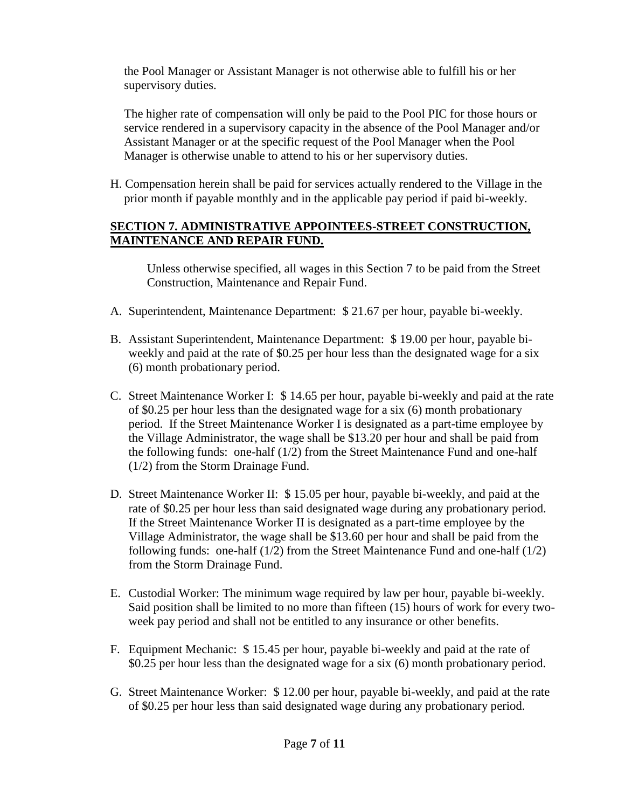the Pool Manager or Assistant Manager is not otherwise able to fulfill his or her supervisory duties.

The higher rate of compensation will only be paid to the Pool PIC for those hours or service rendered in a supervisory capacity in the absence of the Pool Manager and/or Assistant Manager or at the specific request of the Pool Manager when the Pool Manager is otherwise unable to attend to his or her supervisory duties.

H. Compensation herein shall be paid for services actually rendered to the Village in the prior month if payable monthly and in the applicable pay period if paid bi-weekly.

#### **SECTION 7. ADMINISTRATIVE APPOINTEES-STREET CONSTRUCTION, MAINTENANCE AND REPAIR FUND.**

Unless otherwise specified, all wages in this Section 7 to be paid from the Street Construction, Maintenance and Repair Fund.

- A. Superintendent, Maintenance Department: \$ 21.67 per hour, payable bi-weekly.
- B. Assistant Superintendent, Maintenance Department: \$ 19.00 per hour, payable biweekly and paid at the rate of \$0.25 per hour less than the designated wage for a six (6) month probationary period.
- C. Street Maintenance Worker I: \$ 14.65 per hour, payable bi-weekly and paid at the rate of \$0.25 per hour less than the designated wage for a six (6) month probationary period. If the Street Maintenance Worker I is designated as a part-time employee by the Village Administrator, the wage shall be \$13.20 per hour and shall be paid from the following funds: one-half (1/2) from the Street Maintenance Fund and one-half (1/2) from the Storm Drainage Fund.
- D. Street Maintenance Worker II: \$ 15.05 per hour, payable bi-weekly, and paid at the rate of \$0.25 per hour less than said designated wage during any probationary period. If the Street Maintenance Worker II is designated as a part-time employee by the Village Administrator, the wage shall be \$13.60 per hour and shall be paid from the following funds: one-half (1/2) from the Street Maintenance Fund and one-half (1/2) from the Storm Drainage Fund.
- E. Custodial Worker: The minimum wage required by law per hour, payable bi-weekly. Said position shall be limited to no more than fifteen (15) hours of work for every twoweek pay period and shall not be entitled to any insurance or other benefits.
- F. Equipment Mechanic: \$ 15.45 per hour, payable bi-weekly and paid at the rate of \$0.25 per hour less than the designated wage for a six (6) month probationary period.
- G. Street Maintenance Worker: \$ 12.00 per hour, payable bi-weekly, and paid at the rate of \$0.25 per hour less than said designated wage during any probationary period.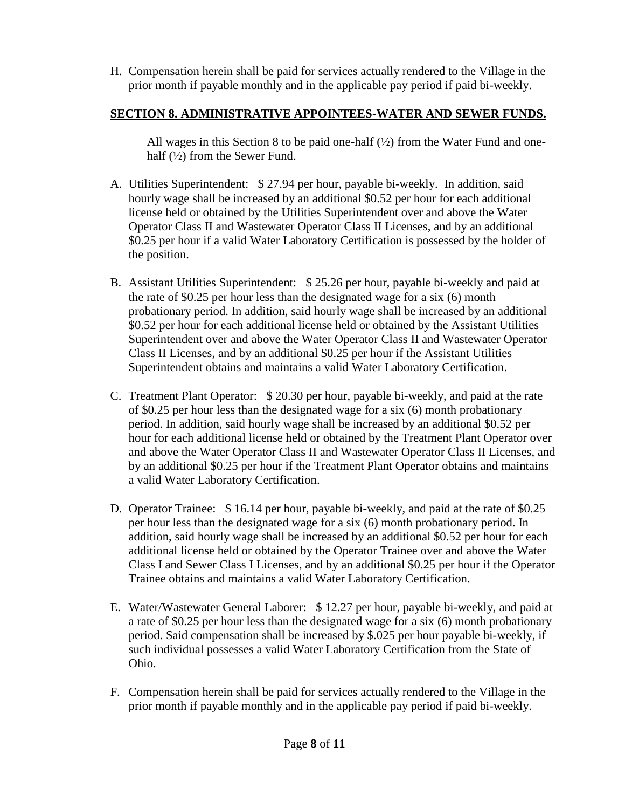H. Compensation herein shall be paid for services actually rendered to the Village in the prior month if payable monthly and in the applicable pay period if paid bi-weekly.

### **SECTION 8. ADMINISTRATIVE APPOINTEES-WATER AND SEWER FUNDS.**

All wages in this Section 8 to be paid one-half  $(1/2)$  from the Water Fund and onehalf (½) from the Sewer Fund.

- A. Utilities Superintendent: \$ 27.94 per hour, payable bi-weekly. In addition, said hourly wage shall be increased by an additional \$0.52 per hour for each additional license held or obtained by the Utilities Superintendent over and above the Water Operator Class II and Wastewater Operator Class II Licenses, and by an additional \$0.25 per hour if a valid Water Laboratory Certification is possessed by the holder of the position.
- B. Assistant Utilities Superintendent: \$ 25.26 per hour, payable bi-weekly and paid at the rate of \$0.25 per hour less than the designated wage for a six (6) month probationary period. In addition, said hourly wage shall be increased by an additional \$0.52 per hour for each additional license held or obtained by the Assistant Utilities Superintendent over and above the Water Operator Class II and Wastewater Operator Class II Licenses, and by an additional \$0.25 per hour if the Assistant Utilities Superintendent obtains and maintains a valid Water Laboratory Certification.
- C. Treatment Plant Operator: \$ 20.30 per hour, payable bi-weekly, and paid at the rate of \$0.25 per hour less than the designated wage for a six (6) month probationary period. In addition, said hourly wage shall be increased by an additional \$0.52 per hour for each additional license held or obtained by the Treatment Plant Operator over and above the Water Operator Class II and Wastewater Operator Class II Licenses, and by an additional \$0.25 per hour if the Treatment Plant Operator obtains and maintains a valid Water Laboratory Certification.
- D. Operator Trainee: \$16.14 per hour, payable bi-weekly, and paid at the rate of \$0.25 per hour less than the designated wage for a six (6) month probationary period. In addition, said hourly wage shall be increased by an additional \$0.52 per hour for each additional license held or obtained by the Operator Trainee over and above the Water Class I and Sewer Class I Licenses, and by an additional \$0.25 per hour if the Operator Trainee obtains and maintains a valid Water Laboratory Certification.
- E. Water/Wastewater General Laborer: \$ 12.27 per hour, payable bi-weekly, and paid at a rate of \$0.25 per hour less than the designated wage for a six (6) month probationary period. Said compensation shall be increased by \$.025 per hour payable bi-weekly, if such individual possesses a valid Water Laboratory Certification from the State of Ohio.
- F. Compensation herein shall be paid for services actually rendered to the Village in the prior month if payable monthly and in the applicable pay period if paid bi-weekly.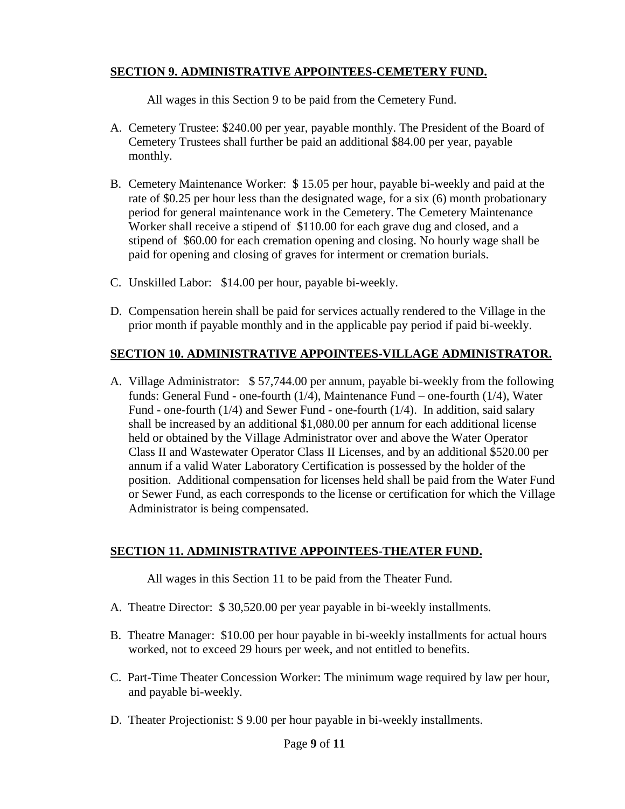# **SECTION 9. ADMINISTRATIVE APPOINTEES-CEMETERY FUND.**

All wages in this Section 9 to be paid from the Cemetery Fund.

- A. Cemetery Trustee: \$240.00 per year, payable monthly. The President of the Board of Cemetery Trustees shall further be paid an additional \$84.00 per year, payable monthly.
- B. Cemetery Maintenance Worker: \$ 15.05 per hour, payable bi-weekly and paid at the rate of \$0.25 per hour less than the designated wage, for a six (6) month probationary period for general maintenance work in the Cemetery. The Cemetery Maintenance Worker shall receive a stipend of \$110.00 for each grave dug and closed, and a stipend of \$60.00 for each cremation opening and closing. No hourly wage shall be paid for opening and closing of graves for interment or cremation burials.
- C. Unskilled Labor: \$14.00 per hour, payable bi-weekly.
- D. Compensation herein shall be paid for services actually rendered to the Village in the prior month if payable monthly and in the applicable pay period if paid bi-weekly.

#### **SECTION 10. ADMINISTRATIVE APPOINTEES-VILLAGE ADMINISTRATOR.**

A. Village Administrator: \$ 57,744.00 per annum, payable bi-weekly from the following funds: General Fund - one-fourth (1/4), Maintenance Fund – one-fourth (1/4), Water Fund - one-fourth (1/4) and Sewer Fund - one-fourth (1/4). In addition, said salary shall be increased by an additional \$1,080.00 per annum for each additional license held or obtained by the Village Administrator over and above the Water Operator Class II and Wastewater Operator Class II Licenses, and by an additional \$520.00 per annum if a valid Water Laboratory Certification is possessed by the holder of the position. Additional compensation for licenses held shall be paid from the Water Fund or Sewer Fund, as each corresponds to the license or certification for which the Village Administrator is being compensated.

#### **SECTION 11. ADMINISTRATIVE APPOINTEES-THEATER FUND.**

All wages in this Section 11 to be paid from the Theater Fund.

- A. Theatre Director: \$ 30,520.00 per year payable in bi-weekly installments.
- B. Theatre Manager: \$10.00 per hour payable in bi-weekly installments for actual hours worked, not to exceed 29 hours per week, and not entitled to benefits.
- C. Part-Time Theater Concession Worker: The minimum wage required by law per hour, and payable bi-weekly.
- D. Theater Projectionist: \$ 9.00 per hour payable in bi-weekly installments.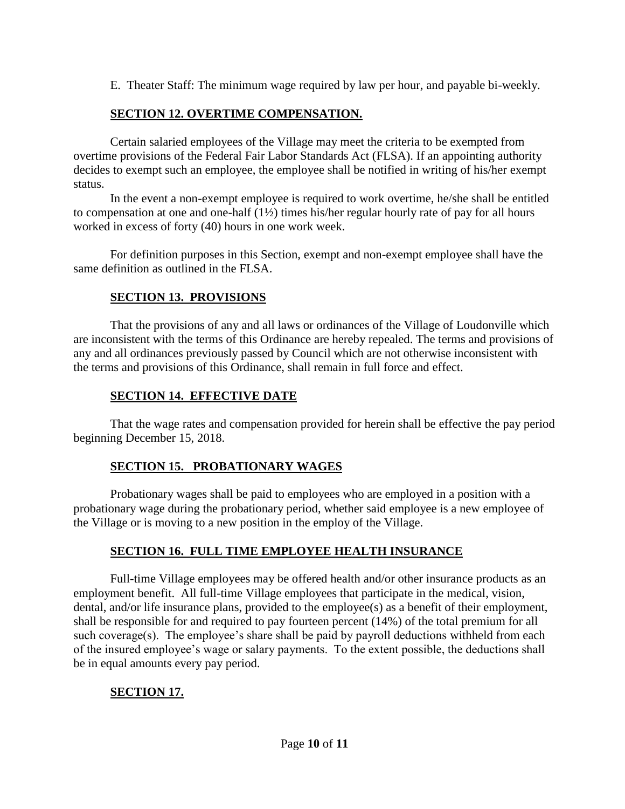E. Theater Staff: The minimum wage required by law per hour, and payable bi-weekly.

# **SECTION 12. OVERTIME COMPENSATION.**

Certain salaried employees of the Village may meet the criteria to be exempted from overtime provisions of the Federal Fair Labor Standards Act (FLSA). If an appointing authority decides to exempt such an employee, the employee shall be notified in writing of his/her exempt status.

In the event a non-exempt employee is required to work overtime, he/she shall be entitled to compensation at one and one-half (1½) times his/her regular hourly rate of pay for all hours worked in excess of forty (40) hours in one work week.

For definition purposes in this Section, exempt and non-exempt employee shall have the same definition as outlined in the FLSA.

# **SECTION 13. PROVISIONS**

That the provisions of any and all laws or ordinances of the Village of Loudonville which are inconsistent with the terms of this Ordinance are hereby repealed. The terms and provisions of any and all ordinances previously passed by Council which are not otherwise inconsistent with the terms and provisions of this Ordinance, shall remain in full force and effect.

# **SECTION 14. EFFECTIVE DATE**

That the wage rates and compensation provided for herein shall be effective the pay period beginning December 15, 2018.

# **SECTION 15. PROBATIONARY WAGES**

Probationary wages shall be paid to employees who are employed in a position with a probationary wage during the probationary period, whether said employee is a new employee of the Village or is moving to a new position in the employ of the Village.

# **SECTION 16. FULL TIME EMPLOYEE HEALTH INSURANCE**

Full-time Village employees may be offered health and/or other insurance products as an employment benefit. All full-time Village employees that participate in the medical, vision, dental, and/or life insurance plans, provided to the employee(s) as a benefit of their employment, shall be responsible for and required to pay fourteen percent (14%) of the total premium for all such coverage(s). The employee's share shall be paid by payroll deductions withheld from each of the insured employee's wage or salary payments. To the extent possible, the deductions shall be in equal amounts every pay period.

# **SECTION 17.**